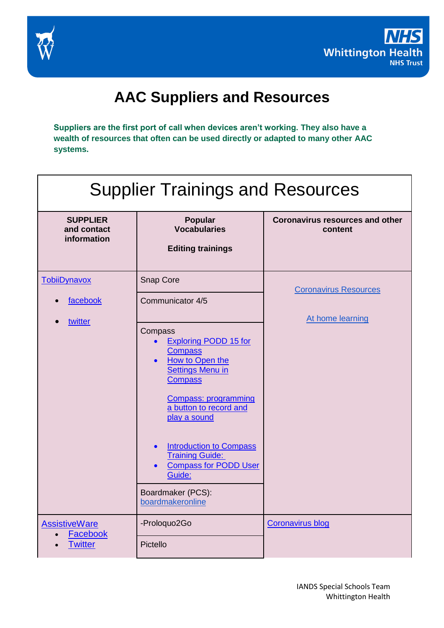



## **AAC Suppliers and Resources**

**Suppliers are the first port of call when devices aren't working. They also have a wealth of resources that often can be used directly or adapted to many other AAC systems.**

| <b>Supplier Trainings and Resources</b>       |                                                                                                                                                                                                                                                                                                                                                                             |                                                   |  |  |  |
|-----------------------------------------------|-----------------------------------------------------------------------------------------------------------------------------------------------------------------------------------------------------------------------------------------------------------------------------------------------------------------------------------------------------------------------------|---------------------------------------------------|--|--|--|
| <b>SUPPLIER</b><br>and contact<br>information | Popular<br><b>Vocabularies</b><br><b>Editing trainings</b>                                                                                                                                                                                                                                                                                                                  | <b>Coronavirus resources and other</b><br>content |  |  |  |
| TobiiDynavox                                  | Snap Core                                                                                                                                                                                                                                                                                                                                                                   | <b>Coronavirus Resources</b>                      |  |  |  |
| facebook                                      | Communicator 4/5                                                                                                                                                                                                                                                                                                                                                            |                                                   |  |  |  |
| twitter                                       | Compass<br><b>Exploring PODD 15 for</b><br><b>Compass</b><br>How to Open the<br>$\bullet$<br><b>Settings Menu in</b><br><b>Compass</b><br><b>Compass: programming</b><br>a button to record and<br>play a sound<br><b>Introduction to Compass</b><br>$\bullet$<br><b>Training Guide:</b><br><b>Compass for PODD User</b><br>Guide:<br>Boardmaker (PCS):<br>boardmakeronline | At home learning                                  |  |  |  |
| <b>AssistiveWare</b><br><b>Facebook</b>       | -Proloquo2Go                                                                                                                                                                                                                                                                                                                                                                | <b>Coronavirus blog</b>                           |  |  |  |
| <b>Twitter</b>                                | Pictello                                                                                                                                                                                                                                                                                                                                                                    |                                                   |  |  |  |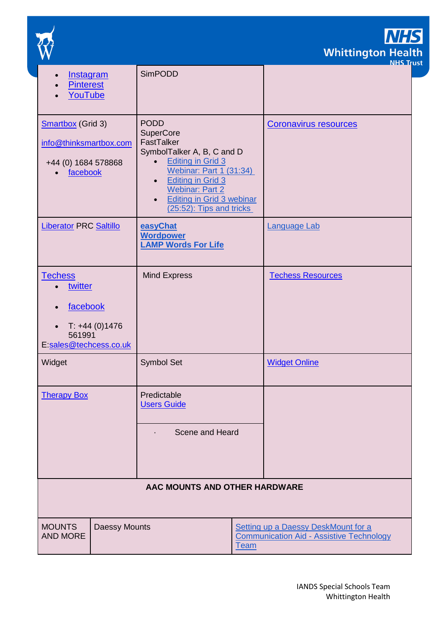

**NHS** Whittington Health

| <b>Instagram</b>                                                                                                                                                                                                                                                                                                                                                                   |               | <b>SimPODD</b>                                                                                               |                              | <u>NHS Tr</u> ı          |  |
|------------------------------------------------------------------------------------------------------------------------------------------------------------------------------------------------------------------------------------------------------------------------------------------------------------------------------------------------------------------------------------|---------------|--------------------------------------------------------------------------------------------------------------|------------------------------|--------------------------|--|
| <b>Pinterest</b><br>YouTube                                                                                                                                                                                                                                                                                                                                                        |               |                                                                                                              |                              |                          |  |
| <b>PODD</b><br><b>Smartbox</b> (Grid 3)<br><b>SuperCore</b><br>FastTalker<br>info@thinksmartbox.com<br>SymbolTalker A, B, C and D<br><b>Editing in Grid 3</b><br>$\bullet$<br>+44 (0) 1684 578868<br><b>Webinar: Part 1 (31:34)</b><br>facebook<br><b>Editing in Grid 3</b><br>$\bullet$<br><b>Webinar: Part 2</b><br><b>Editing in Grid 3 webinar</b><br>(25:52): Tips and tricks |               |                                                                                                              | <b>Coronavirus resources</b> |                          |  |
| <b>Liberator PRC Saltillo</b>                                                                                                                                                                                                                                                                                                                                                      |               | easyChat<br><b>Wordpower</b><br><b>LAMP Words For Life</b>                                                   |                              | <b>Language Lab</b>      |  |
| <b>Techess</b><br>twitter<br>facebook<br>$T: +44(0)1476$<br>$\bullet$<br>561991<br>E:sales@techcess.co.uk                                                                                                                                                                                                                                                                          |               | <b>Mind Express</b>                                                                                          |                              | <b>Techess Resources</b> |  |
| Widget                                                                                                                                                                                                                                                                                                                                                                             |               | <b>Symbol Set</b>                                                                                            |                              | <b>Widget Online</b>     |  |
| <b>Therapy Box</b>                                                                                                                                                                                                                                                                                                                                                                 |               | Predictable<br><b>Users Guide</b><br>Scene and Heard                                                         |                              |                          |  |
|                                                                                                                                                                                                                                                                                                                                                                                    |               |                                                                                                              |                              |                          |  |
| AAC MOUNTS AND OTHER HARDWARE                                                                                                                                                                                                                                                                                                                                                      |               |                                                                                                              |                              |                          |  |
| <b>MOUNTS</b><br><b>AND MORE</b>                                                                                                                                                                                                                                                                                                                                                   | Daessy Mounts | <b>Setting up a Daessy DeskMount for a</b><br><b>Communication Aid - Assistive Technology</b><br><u>Team</u> |                              |                          |  |